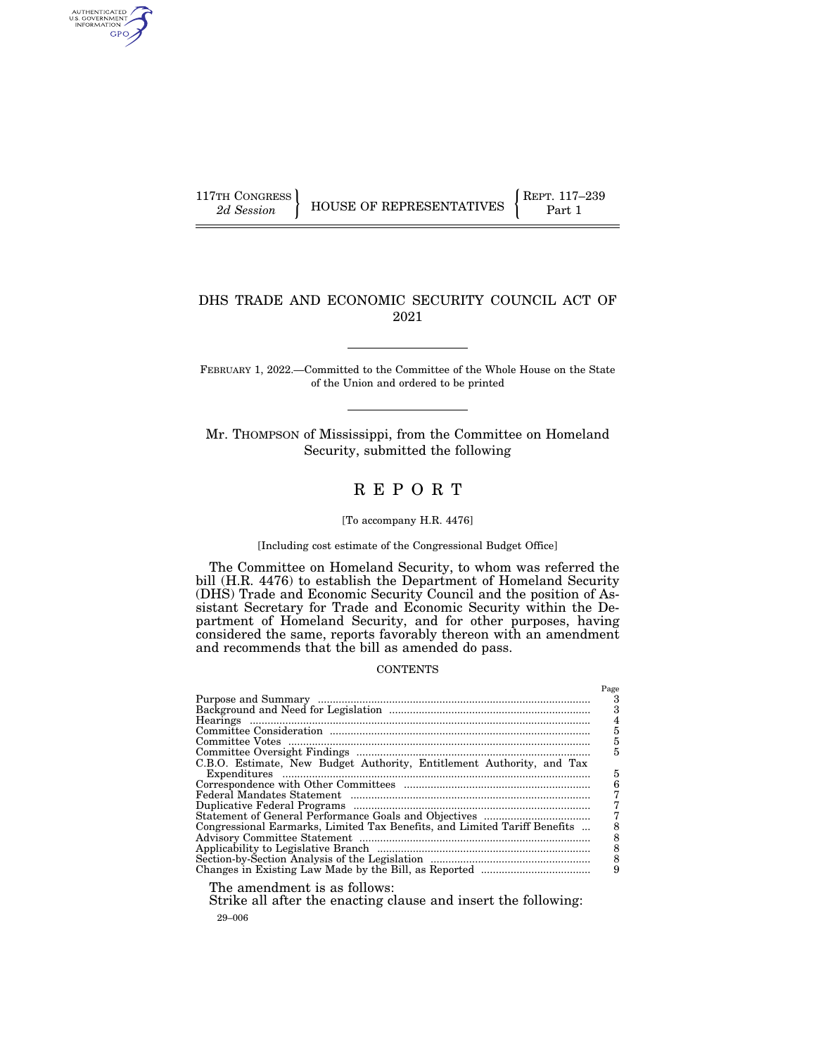AUTHENTICATED<br>U.S. GOVERNMENT<br>INFORMATION GPO

## DHS TRADE AND ECONOMIC SECURITY COUNCIL ACT OF 2021

FEBRUARY 1, 2022.—Committed to the Committee of the Whole House on the State of the Union and ordered to be printed

Mr. THOMPSON of Mississippi, from the Committee on Homeland Security, submitted the following

# R E P O R T

### [To accompany H.R. 4476]

### [Including cost estimate of the Congressional Budget Office]

The Committee on Homeland Security, to whom was referred the bill (H.R. 4476) to establish the Department of Homeland Security (DHS) Trade and Economic Security Council and the position of Assistant Secretary for Trade and Economic Security within the Department of Homeland Security, and for other purposes, having considered the same, reports favorably thereon with an amendment and recommends that the bill as amended do pass.

### **CONTENTS**

|                                                                                                                                                                                                                                                                                                                                    | Page |
|------------------------------------------------------------------------------------------------------------------------------------------------------------------------------------------------------------------------------------------------------------------------------------------------------------------------------------|------|
|                                                                                                                                                                                                                                                                                                                                    | 3    |
|                                                                                                                                                                                                                                                                                                                                    |      |
|                                                                                                                                                                                                                                                                                                                                    |      |
|                                                                                                                                                                                                                                                                                                                                    | 5    |
|                                                                                                                                                                                                                                                                                                                                    | 5    |
|                                                                                                                                                                                                                                                                                                                                    | 5    |
| C.B.O. Estimate, New Budget Authority, Entitlement Authority, and Tax                                                                                                                                                                                                                                                              |      |
|                                                                                                                                                                                                                                                                                                                                    | 5    |
|                                                                                                                                                                                                                                                                                                                                    | 6    |
|                                                                                                                                                                                                                                                                                                                                    |      |
|                                                                                                                                                                                                                                                                                                                                    |      |
|                                                                                                                                                                                                                                                                                                                                    |      |
| Congressional Earmarks, Limited Tax Benefits, and Limited Tariff Benefits                                                                                                                                                                                                                                                          |      |
|                                                                                                                                                                                                                                                                                                                                    |      |
|                                                                                                                                                                                                                                                                                                                                    |      |
|                                                                                                                                                                                                                                                                                                                                    |      |
|                                                                                                                                                                                                                                                                                                                                    |      |
|                                                                                                                                                                                                                                                                                                                                    |      |
| $\mathbf{m}$ $\mathbf{m}$ $\mathbf{m}$ $\mathbf{m}$ $\mathbf{m}$ $\mathbf{m}$ $\mathbf{m}$ $\mathbf{m}$ $\mathbf{m}$ $\mathbf{m}$ $\mathbf{m}$ $\mathbf{m}$ $\mathbf{m}$ $\mathbf{m}$ $\mathbf{m}$ $\mathbf{m}$ $\mathbf{m}$ $\mathbf{m}$ $\mathbf{m}$ $\mathbf{m}$ $\mathbf{m}$ $\mathbf{m}$ $\mathbf{m}$ $\mathbf{m}$ $\mathbf{$ |      |

The amendment is as follows:

29–006 Strike all after the enacting clause and insert the following: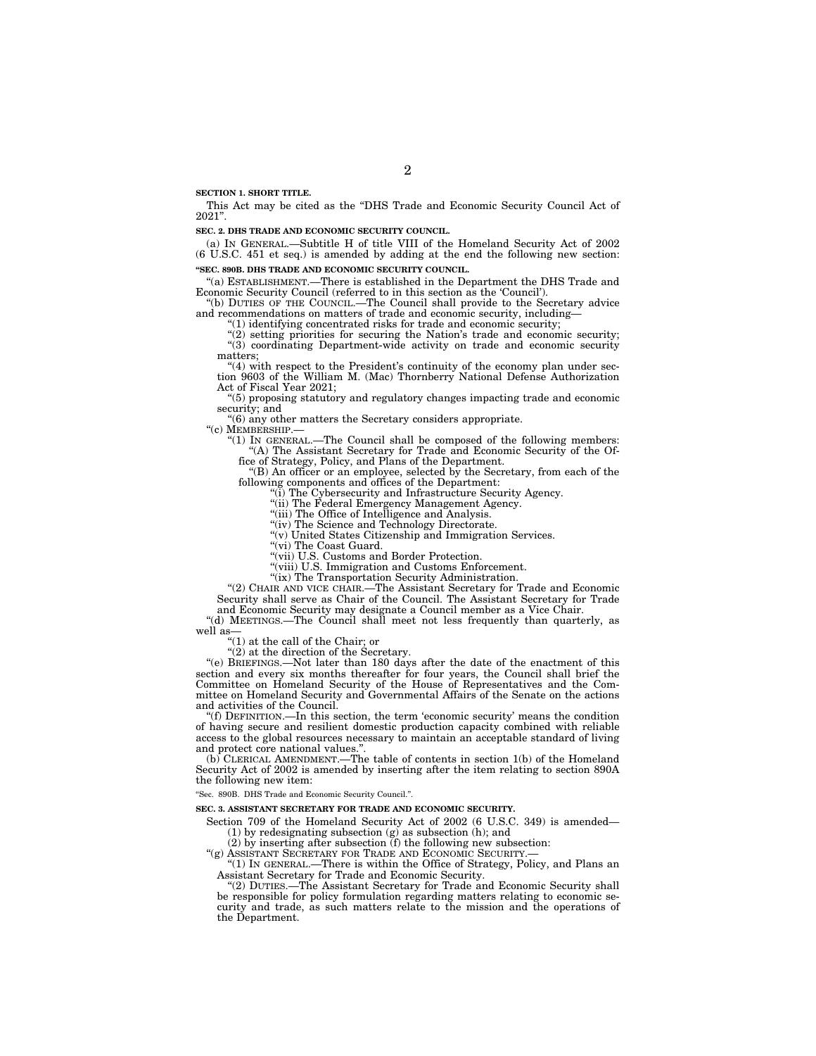**SECTION 1. SHORT TITLE.** 

This Act may be cited as the ''DHS Trade and Economic Security Council Act of 2021''.

**SEC. 2. DHS TRADE AND ECONOMIC SECURITY COUNCIL.** 

(a) IN GENERAL.—Subtitle H of title VIII of the Homeland Security Act of 2002 (6 U.S.C. 451 et seq.) is amended by adding at the end the following new section: **''SEC. 890B. DHS TRADE AND ECONOMIC SECURITY COUNCIL.** 

''(a) ESTABLISHMENT.—There is established in the Department the DHS Trade and Economic Security Council (referred to in this section as the 'Council').

''(b) DUTIES OF THE COUNCIL.—The Council shall provide to the Secretary advice and recommendations on matters of trade and economic security, including—

 $(1)$  identifying concentrated risks for trade and economic security;

 $(2)$  setting priorities for securing the Nation's trade and economic security; "(3) coordinating Department-wide activity on trade and economic security matters;

 $''(4)$  with respect to the President's continuity of the economy plan under section 9603 of the William M. (Mac) Thornberry National Defense Authorization Act of Fiscal Year 2021;

''(5) proposing statutory and regulatory changes impacting trade and economic security; and

 $"$ (6) any other matters the Secretary considers appropriate.<br> $"$ (c) MEMBERSHIP.—

"(1) IN GENERAL.—The Council shall be composed of the following members: ''(A) The Assistant Secretary for Trade and Economic Security of the Office of Strategy, Policy, and Plans of the Department.

 $f(B)$  An officer or an employee, selected by the Secretary, from each of the following components and offices of the Department:

(i) The Cybersecurity and Infrastructure Security Agency.

''(ii) The Federal Emergency Management Agency. ''(iii) The Office of Intelligence and Analysis.

"(iv) The Science and Technology Directorate.

''(v) United States Citizenship and Immigration Services.

"(vi) The Coast Guard.

''(vii) U.S. Customs and Border Protection.

''(viii) U.S. Immigration and Customs Enforcement.

"(ix) The Transportation Security Administration.

''(2) CHAIR AND VICE CHAIR.—The Assistant Secretary for Trade and Economic Security shall serve as Chair of the Council. The Assistant Secretary for Trade and Economic Security may designate a Council member as a Vice Chair.

''(d) MEETINGS.—The Council shall meet not less frequently than quarterly, as well as—

''(1) at the call of the Chair; or

''(2) at the direction of the Secretary.

''(e) BRIEFINGS.—Not later than 180 days after the date of the enactment of this section and every six months thereafter for four years, the Council shall brief the Committee on Homeland Security of the House of Representatives and the Committee on Homeland Security and Governmental Affairs of the Senate on the actions and activities of the Council.

''(f) DEFINITION.—In this section, the term 'economic security' means the condition of having secure and resilient domestic production capacity combined with reliable access to the global resources necessary to maintain an acceptable standard of living and protect core national values."

(b) CLERICAL AMENDMENT.—The table of contents in section 1(b) of the Homeland Security Act of 2002 is amended by inserting after the item relating to section 890A the following new item:

''Sec. 890B. DHS Trade and Economic Security Council.''.

**SEC. 3. ASSISTANT SECRETARY FOR TRADE AND ECONOMIC SECURITY.** 

Section 709 of the Homeland Security Act of 2002 (6 U.S.C. 349) is amended— (1) by redesignating subsection (g) as subsection (h); and

(2) by inserting after subsection (f) the following new subsection:

"(g) ASSISTANT SECRETARY FOR TRADE AND ECONOMIC SECURITY.

''(1) IN GENERAL.—There is within the Office of Strategy, Policy, and Plans an Assistant Secretary for Trade and Economic Security.

''(2) DUTIES.—The Assistant Secretary for Trade and Economic Security shall be responsible for policy formulation regarding matters relating to economic security and trade, as such matters relate to the mission and the operations of the Department.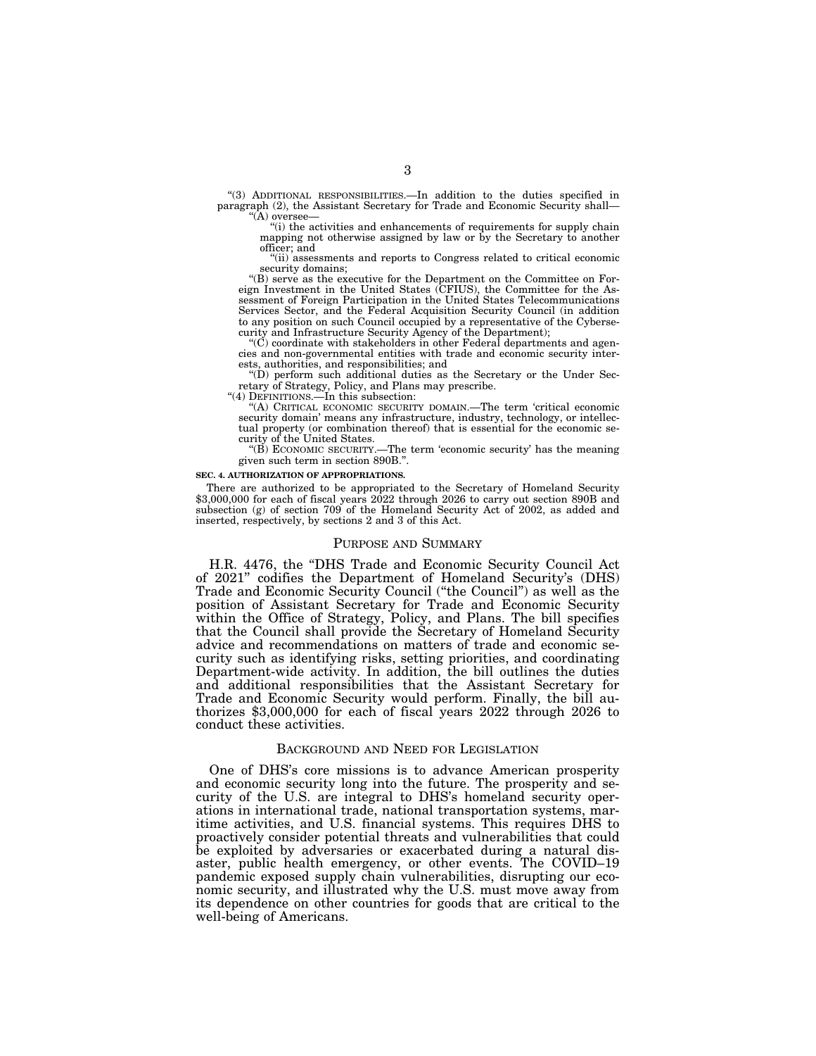''(3) ADDITIONAL RESPONSIBILITIES.—In addition to the duties specified in paragraph (2), the Assistant Secretary for Trade and Economic Security shall— ''(A) oversee—

''(i) the activities and enhancements of requirements for supply chain mapping not otherwise assigned by law or by the Secretary to another officer; and

"(ii) assessments and reports to Congress related to critical economic security domains:

''(B) serve as the executive for the Department on the Committee on For-eign Investment in the United States (CFIUS), the Committee for the As-sessment of Foreign Participation in the United States Telecommunications Services Sector, and the Federal Acquisition Security Council (in addition to any position on such Council occupied by a representative of the Cybersecurity and Infrastructure Security Agency of the Department);

 $\rm ^{\circ}(C)$  coordinate with stakeholders in other Federal departments and agencies and non-governmental entities with trade and economic security interests, authorities, and responsibilities; and

''(D) perform such additional duties as the Secretary or the Under Secretary of Strategy, Policy, and Plans may prescribe.

''(4) DEFINITIONS.—In this subsection:

''(A) CRITICAL ECONOMIC SECURITY DOMAIN.—The term 'critical economic security domain' means any infrastructure, industry, technology, or intellectual property (or combination thereof) that is essential for the economic security of the United States.

"(B) ECONOMIC SECURITY.—The term 'economic security' has the meaning given such term in section 890B.''.

### **SEC. 4. AUTHORIZATION OF APPROPRIATIONS.**

There are authorized to be appropriated to the Secretary of Homeland Security \$3,000,000 for each of fiscal years 2022 through 2026 to carry out section 890B and subsection (g) of section 709 of the Homeland Security Act of 2002, as added and inserted, respectively, by sections 2 and 3 of this Act.

### PURPOSE AND SUMMARY

H.R. 4476, the ''DHS Trade and Economic Security Council Act of 2021'' codifies the Department of Homeland Security's (DHS) Trade and Economic Security Council (''the Council'') as well as the position of Assistant Secretary for Trade and Economic Security within the Office of Strategy, Policy, and Plans. The bill specifies that the Council shall provide the Secretary of Homeland Security advice and recommendations on matters of trade and economic security such as identifying risks, setting priorities, and coordinating Department-wide activity. In addition, the bill outlines the duties and additional responsibilities that the Assistant Secretary for Trade and Economic Security would perform. Finally, the bill authorizes \$3,000,000 for each of fiscal years 2022 through 2026 to conduct these activities.

## BACKGROUND AND NEED FOR LEGISLATION

One of DHS's core missions is to advance American prosperity and economic security long into the future. The prosperity and security of the U.S. are integral to DHS's homeland security operations in international trade, national transportation systems, maritime activities, and U.S. financial systems. This requires DHS to proactively consider potential threats and vulnerabilities that could be exploited by adversaries or exacerbated during a natural disaster, public health emergency, or other events. The COVID–19 pandemic exposed supply chain vulnerabilities, disrupting our economic security, and illustrated why the U.S. must move away from its dependence on other countries for goods that are critical to the well-being of Americans.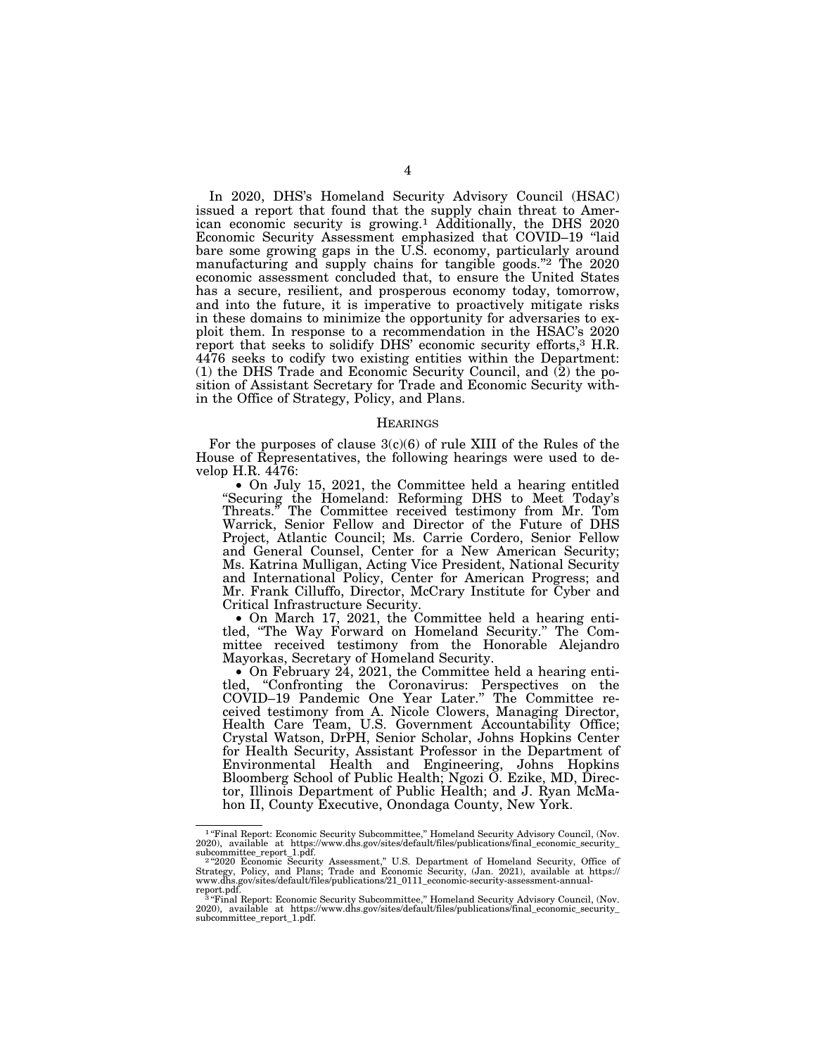In 2020, DHS's Homeland Security Advisory Council (HSAC) issued a report that found that the supply chain threat to American economic security is growing.1 Additionally, the DHS 2020 Economic Security Assessment emphasized that COVID–19 ''laid bare some growing gaps in the U.S. economy, particularly around manufacturing and supply chains for tangible goods."<sup>2</sup> The 2020 economic assessment concluded that, to ensure the United States has a secure, resilient, and prosperous economy today, tomorrow, and into the future, it is imperative to proactively mitigate risks in these domains to minimize the opportunity for adversaries to exploit them. In response to a recommendation in the HSAC's 2020 report that seeks to solidify DHS' economic security efforts,3 H.R. 4476 seeks to codify two existing entities within the Department: (1) the DHS Trade and Economic Security Council, and (2) the position of Assistant Secretary for Trade and Economic Security within the Office of Strategy, Policy, and Plans.

### **HEARINGS**

For the purposes of clause  $3(c)(6)$  of rule XIII of the Rules of the House of Representatives, the following hearings were used to develop H.R. 4476:

• On July 15, 2021, the Committee held a hearing entitled ''Securing the Homeland: Reforming DHS to Meet Today's Threats.'' The Committee received testimony from Mr. Tom Warrick, Senior Fellow and Director of the Future of DHS Project, Atlantic Council; Ms. Carrie Cordero, Senior Fellow and General Counsel, Center for a New American Security; Ms. Katrina Mulligan, Acting Vice President, National Security and International Policy, Center for American Progress; and Mr. Frank Cilluffo, Director, McCrary Institute for Cyber and Critical Infrastructure Security.

• On March 17, 2021, the Committee held a hearing entitled, ''The Way Forward on Homeland Security.'' The Committee received testimony from the Honorable Alejandro Mayorkas, Secretary of Homeland Security.

• On February 24, 2021, the Committee held a hearing entitled, ''Confronting the Coronavirus: Perspectives on the COVID–19 Pandemic One Year Later.'' The Committee received testimony from A. Nicole Clowers, Managing Director, Health Care Team, U.S. Government Accountability Office; Crystal Watson, DrPH, Senior Scholar, Johns Hopkins Center for Health Security, Assistant Professor in the Department of Environmental Health and Engineering, Johns Hopkins Bloomberg School of Public Health; Ngozi O. Ezike, MD, Director, Illinois Department of Public Health; and J. Ryan McMahon II, County Executive, Onondaga County, New York.

<sup>&</sup>lt;sup>1</sup> "Final Report: Economic Security Subcommittee," Homeland Security Advisory Council, (Nov.

<sup>2020),</sup> available at https://www.dhs.gov/sites/default/files/publications/final\_economic\_security\_subcommitte\_report 1.pdf.<br>
22020 Economic\_security\_assessment," U.S. Department of Homeland Security, Office of<br>
242020 Econo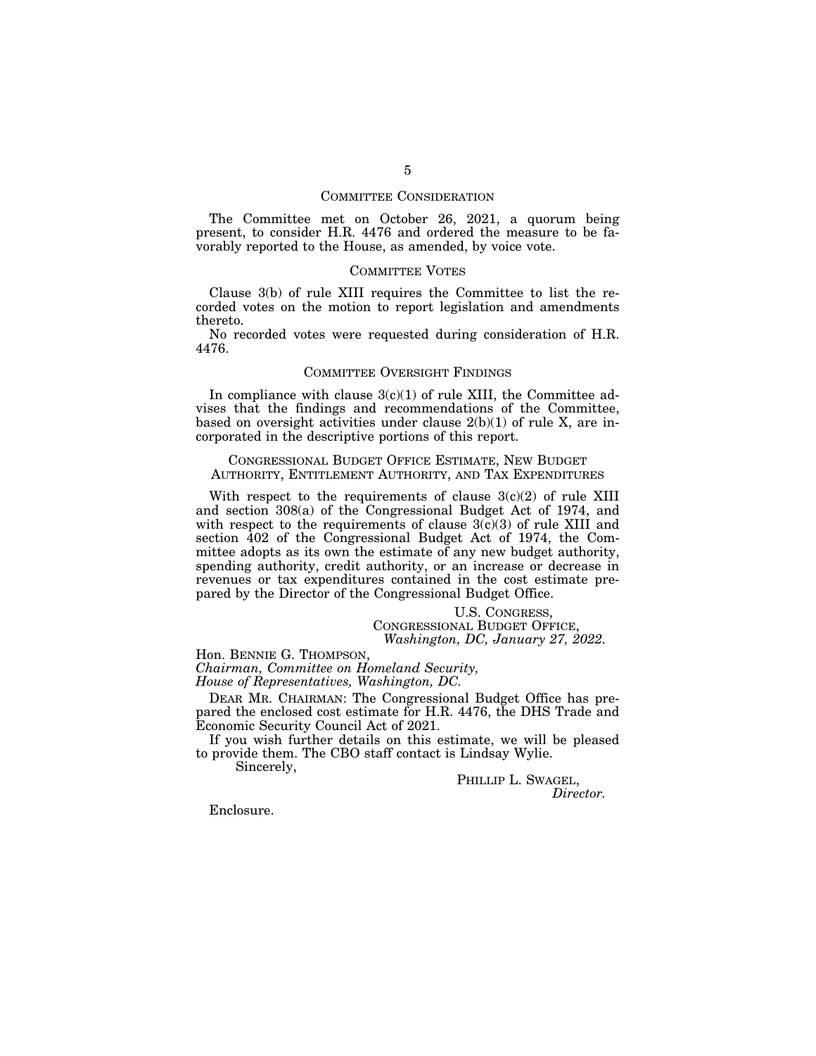### COMMITTEE CONSIDERATION

The Committee met on October 26, 2021, a quorum being present, to consider H.R. 4476 and ordered the measure to be favorably reported to the House, as amended, by voice vote.

### COMMITTEE VOTES

Clause 3(b) of rule XIII requires the Committee to list the recorded votes on the motion to report legislation and amendments thereto.

No recorded votes were requested during consideration of H.R. 4476.

### COMMITTEE OVERSIGHT FINDINGS

In compliance with clause  $3(c)(1)$  of rule XIII, the Committee advises that the findings and recommendations of the Committee, based on oversight activities under clause 2(b)(1) of rule X, are incorporated in the descriptive portions of this report.

### CONGRESSIONAL BUDGET OFFICE ESTIMATE, NEW BUDGET AUTHORITY, ENTITLEMENT AUTHORITY, AND TAX EXPENDITURES

With respect to the requirements of clause  $3(c)(2)$  of rule XIII and section 308(a) of the Congressional Budget Act of 1974, and with respect to the requirements of clause  $3(c)(3)$  of rule XIII and section 402 of the Congressional Budget Act of 1974, the Committee adopts as its own the estimate of any new budget authority, spending authority, credit authority, or an increase or decrease in revenues or tax expenditures contained in the cost estimate prepared by the Director of the Congressional Budget Office.

### U.S. CONGRESS, CONGRESSIONAL BUDGET OFFICE, *Washington, DC, January 27, 2022.*

Hon. BENNIE G. THOMPSON, *Chairman, Committee on Homeland Security,* 

*House of Representatives, Washington, DC.* 

DEAR MR. CHAIRMAN: The Congressional Budget Office has prepared the enclosed cost estimate for H.R. 4476, the DHS Trade and Economic Security Council Act of 2021.

If you wish further details on this estimate, we will be pleased to provide them. The CBO staff contact is Lindsay Wylie.

Sincerely,

PHILLIP L. SWAGEL, *Director.* 

Enclosure.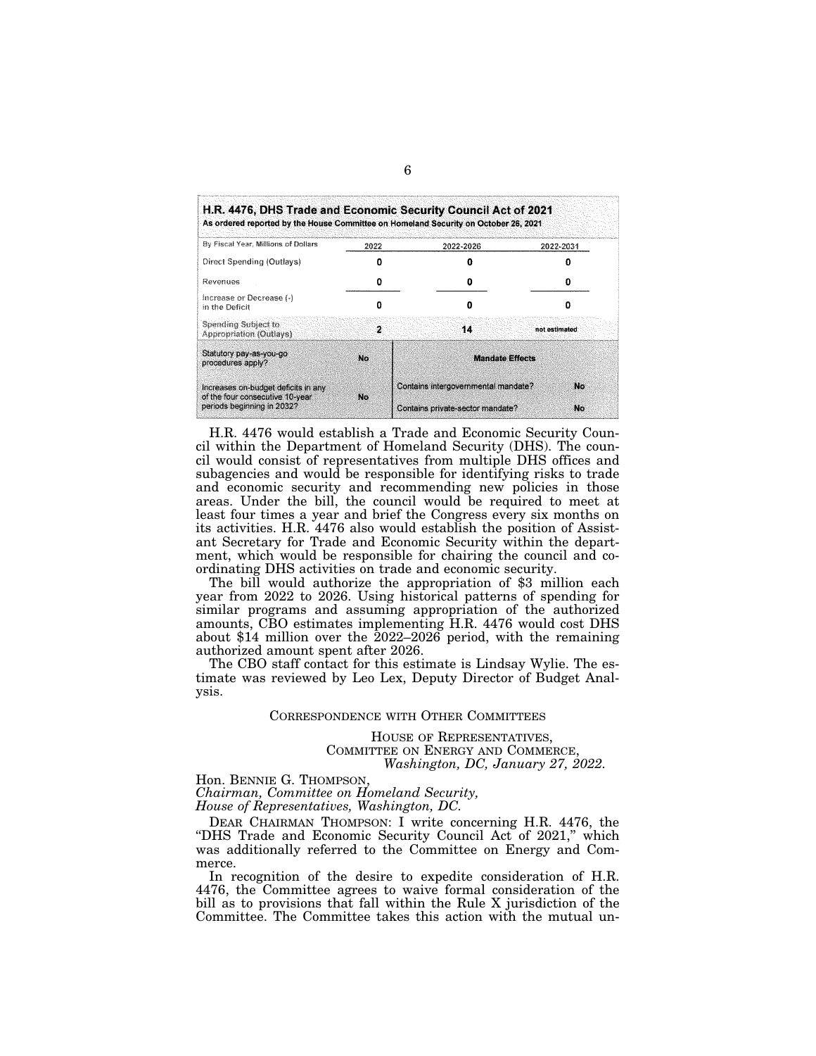| As ordered reported by the House Committee on Homeland Security on October 26, 2021 |      |                                     |               |  |
|-------------------------------------------------------------------------------------|------|-------------------------------------|---------------|--|
| By Fiscal Year, Millions of Dollars                                                 | 2022 | 2022-2026                           | 2022-2031     |  |
| Direct Spending (Outlays)                                                           |      |                                     |               |  |
| Revenues                                                                            |      | n                                   | n             |  |
| Increase or Decrease (-)<br>in the Deficit                                          | Ω    | Ω                                   |               |  |
| Spending Subject to<br>Appropriation (Outlays)                                      | 2    | 14                                  | not estimated |  |
| Statutory pay-as-you-go<br>procedures apply?                                        | No   | <b>Mandate Effects</b>              |               |  |
| Increases on-budget deficits in any<br>of the four consecutive 10-year              | No.  | Contains intergovernmental mandate? | No            |  |
| periods beginning in 2032?                                                          |      | Contains private-sector mandate?    | No            |  |

H.R. 4476 would establish a Trade and Economic Security Council within the Department of Homeland Security (DHS). The council would consist of representatives from multiple DHS offices and subagencies and would be responsible for identifying risks to trade and economic security and recommending new policies in those areas. Under the bill, the council would be required to meet at least four times a year and brief the Congress every six months on its activities. H.R. 4476 also would establish the position of Assistant Secretary for Trade and Economic Security within the department, which would be responsible for chairing the council and coordinating DHS activities on trade and economic security.

The bill would authorize the appropriation of \$3 million each year from 2022 to 2026. Using historical patterns of spending for similar programs and assuming appropriation of the authorized amounts, CBO estimates implementing H.R. 4476 would cost DHS about \$14 million over the 2022–2026 period, with the remaining authorized amount spent after 2026.

The CBO staff contact for this estimate is Lindsay Wylie. The estimate was reviewed by Leo Lex, Deputy Director of Budget Analysis.

### CORRESPONDENCE WITH OTHER COMMITTEES

HOUSE OF REPRESENTATIVES, COMMITTEE ON ENERGY AND COMMERCE, *Washington, DC, January 27, 2022.* 

Hon. BENNIE G. THOMPSON, *Chairman, Committee on Homeland Security, House of Representatives, Washington, DC.* 

DEAR CHAIRMAN THOMPSON: I write concerning H.R. 4476, the "DHS Trade and Economic Security Council Act of 2021," which was additionally referred to the Committee on Energy and Commerce.

In recognition of the desire to expedite consideration of H.R. 4476, the Committee agrees to waive formal consideration of the bill as to provisions that fall within the Rule X jurisdiction of the Committee. The Committee takes this action with the mutual un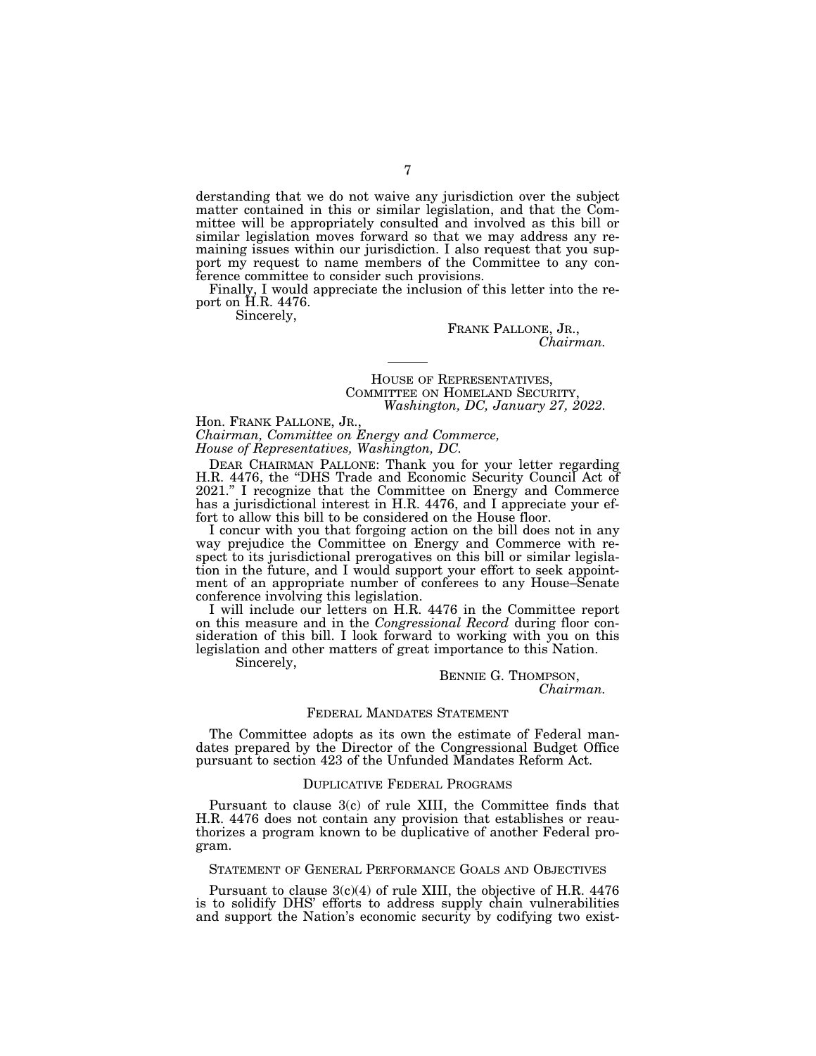derstanding that we do not waive any jurisdiction over the subject matter contained in this or similar legislation, and that the Committee will be appropriately consulted and involved as this bill or similar legislation moves forward so that we may address any remaining issues within our jurisdiction. I also request that you support my request to name members of the Committee to any conference committee to consider such provisions.

Finally, I would appreciate the inclusion of this letter into the report on H.R. 4476.

----

Sincerely,

FRANK PALLONE, JR., *Chairman.* 

# HOUSE OF REPRESENTATIVES, COMMITTEE ON HOMELAND SECURITY, *Washington, DC, January 27, 2022.*

Hon. FRANK PALLONE, JR.,

*Chairman, Committee on Energy and Commerce, House of Representatives, Washington, DC.* 

DEAR CHAIRMAN PALLONE: Thank you for your letter regarding H.R. 4476, the ''DHS Trade and Economic Security Council Act of 2021.'' I recognize that the Committee on Energy and Commerce has a jurisdictional interest in H.R. 4476, and I appreciate your effort to allow this bill to be considered on the House floor.

I concur with you that forgoing action on the bill does not in any way prejudice the Committee on Energy and Commerce with respect to its jurisdictional prerogatives on this bill or similar legislation in the future, and I would support your effort to seek appointment of an appropriate number of conferees to any House–Senate conference involving this legislation.

I will include our letters on H.R. 4476 in the Committee report on this measure and in the *Congressional Record* during floor consideration of this bill. I look forward to working with you on this legislation and other matters of great importance to this Nation.

Sincerely,

BENNIE G. THOMPSON, *Chairman.* 

### FEDERAL MANDATES STATEMENT

The Committee adopts as its own the estimate of Federal mandates prepared by the Director of the Congressional Budget Office pursuant to section 423 of the Unfunded Mandates Reform Act.

### DUPLICATIVE FEDERAL PROGRAMS

Pursuant to clause 3(c) of rule XIII, the Committee finds that H.R. 4476 does not contain any provision that establishes or reauthorizes a program known to be duplicative of another Federal program.

### STATEMENT OF GENERAL PERFORMANCE GOALS AND OBJECTIVES

Pursuant to clause  $3(c)(4)$  of rule XIII, the objective of H.R. 4476 is to solidify DHS' efforts to address supply chain vulnerabilities and support the Nation's economic security by codifying two exist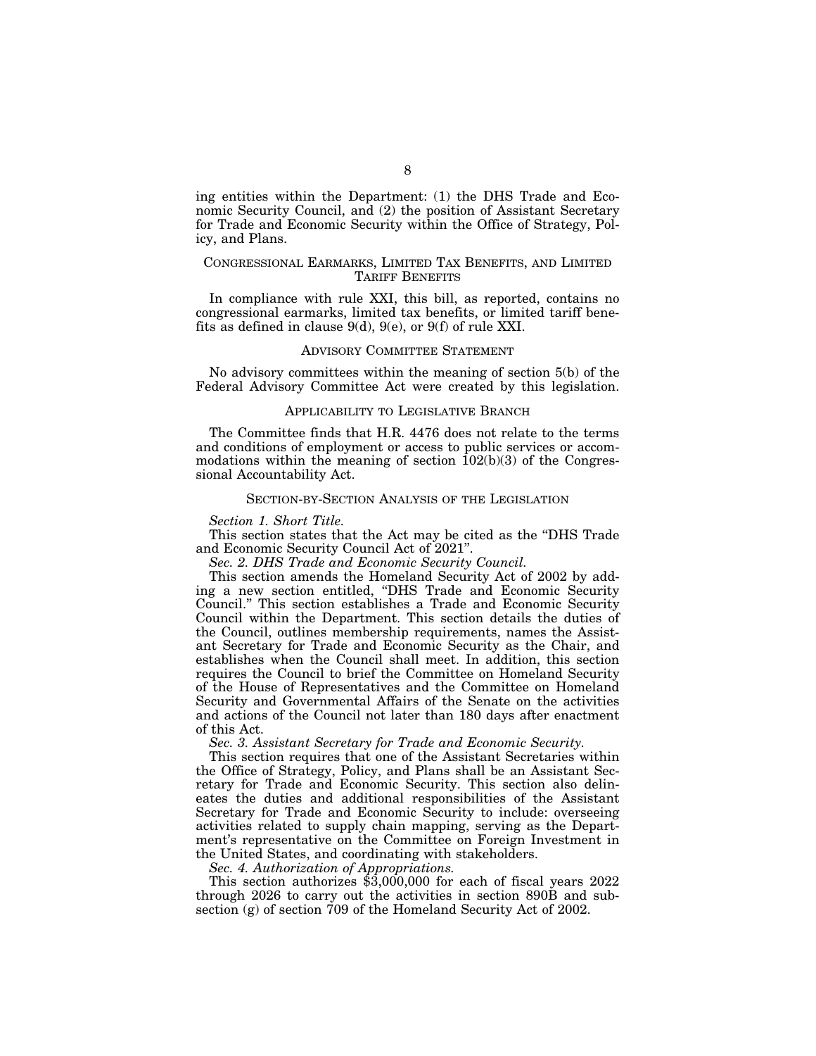ing entities within the Department: (1) the DHS Trade and Economic Security Council, and (2) the position of Assistant Secretary for Trade and Economic Security within the Office of Strategy, Policy, and Plans.

### CONGRESSIONAL EARMARKS, LIMITED TAX BENEFITS, AND LIMITED TARIFF BENEFITS

In compliance with rule XXI, this bill, as reported, contains no congressional earmarks, limited tax benefits, or limited tariff benefits as defined in clause 9(d), 9(e), or 9(f) of rule XXI.

### ADVISORY COMMITTEE STATEMENT

No advisory committees within the meaning of section 5(b) of the Federal Advisory Committee Act were created by this legislation.

### APPLICABILITY TO LEGISLATIVE BRANCH

The Committee finds that H.R. 4476 does not relate to the terms and conditions of employment or access to public services or accommodations within the meaning of section  $102(b)(3)$  of the Congressional Accountability Act.

### SECTION-BY-SECTION ANALYSIS OF THE LEGISLATION

### *Section 1. Short Title.*

This section states that the Act may be cited as the ''DHS Trade and Economic Security Council Act of 2021''.

*Sec. 2. DHS Trade and Economic Security Council.* 

This section amends the Homeland Security Act of 2002 by adding a new section entitled, ''DHS Trade and Economic Security Council.'' This section establishes a Trade and Economic Security Council within the Department. This section details the duties of the Council, outlines membership requirements, names the Assistant Secretary for Trade and Economic Security as the Chair, and establishes when the Council shall meet. In addition, this section requires the Council to brief the Committee on Homeland Security of the House of Representatives and the Committee on Homeland Security and Governmental Affairs of the Senate on the activities and actions of the Council not later than 180 days after enactment of this Act.

*Sec. 3. Assistant Secretary for Trade and Economic Security.* 

This section requires that one of the Assistant Secretaries within the Office of Strategy, Policy, and Plans shall be an Assistant Secretary for Trade and Economic Security. This section also delineates the duties and additional responsibilities of the Assistant Secretary for Trade and Economic Security to include: overseeing activities related to supply chain mapping, serving as the Department's representative on the Committee on Foreign Investment in the United States, and coordinating with stakeholders.

*Sec. 4. Authorization of Appropriations.* 

This section authorizes \$3,000,000 for each of fiscal years 2022 through 2026 to carry out the activities in section 890B and subsection (g) of section 709 of the Homeland Security Act of 2002.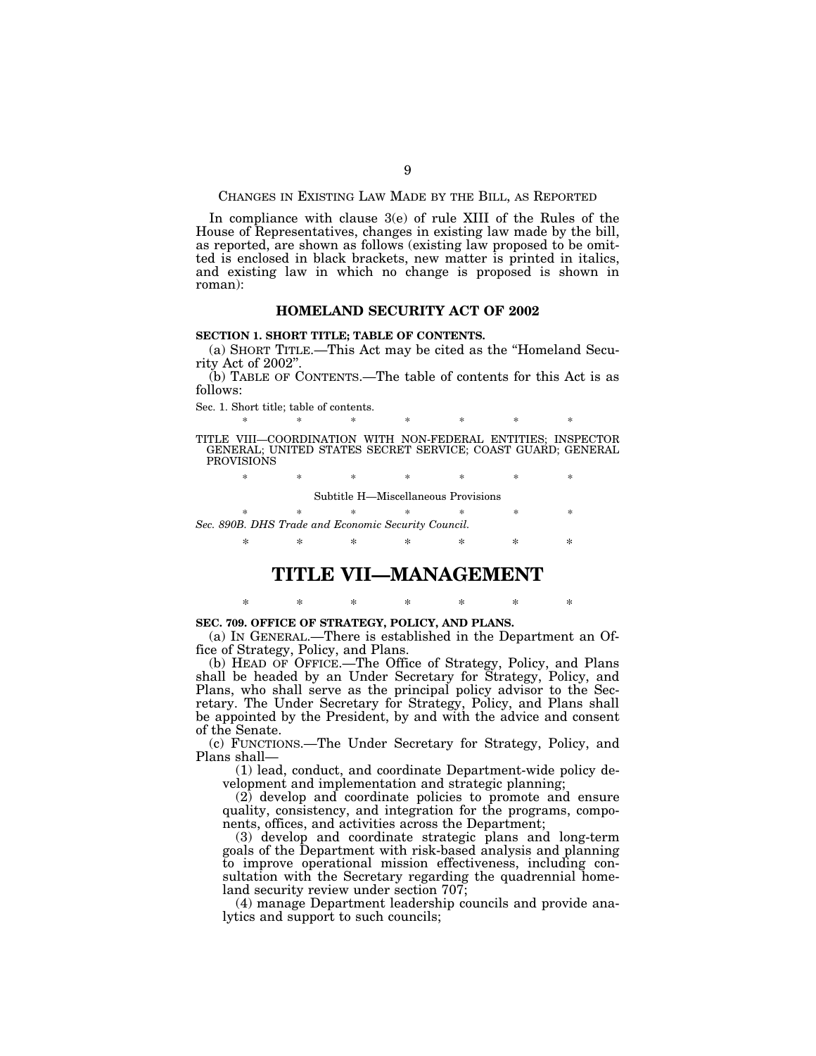CHANGES IN EXISTING LAW MADE BY THE BILL, AS REPORTED

In compliance with clause 3(e) of rule XIII of the Rules of the House of Representatives, changes in existing law made by the bill, as reported, are shown as follows (existing law proposed to be omitted is enclosed in black brackets, new matter is printed in italics, and existing law in which no change is proposed is shown in roman):

### **HOMELAND SECURITY ACT OF 2002**

### **SECTION 1. SHORT TITLE; TABLE OF CONTENTS.**

(a) SHORT TITLE.—This Act may be cited as the ''Homeland Security Act of 2002''.

(b) TABLE OF CONTENTS.—The table of contents for this Act is as follows:

Sec. 1. Short title; table of contents.

\* \* \* \* \* \* \* \* TITLE VIII—COORDINATION WITH NON-FEDERAL ENTITIES; INSPECTOR GENERAL; UNITED STATES SECRET SERVICE; COAST GUARD; GENERAL **PROVISIONS** 

\* \* \* \* \* \* \* \*

Subtitle H—Miscellaneous Provisions

\* \* \* \* \* \* \* \* *Sec. 890B. DHS Trade and Economic Security Council.* 

\* \* \* \* \* \* \*

# **TITLE VII—MANAGEMENT**

\* \* \* \* \* \* \*

### **SEC. 709. OFFICE OF STRATEGY, POLICY, AND PLANS.**

(a) IN GENERAL.—There is established in the Department an Office of Strategy, Policy, and Plans.

(b) HEAD OF OFFICE.—The Office of Strategy, Policy, and Plans shall be headed by an Under Secretary for Strategy, Policy, and Plans, who shall serve as the principal policy advisor to the Secretary. The Under Secretary for Strategy, Policy, and Plans shall be appointed by the President, by and with the advice and consent of the Senate.

(c) FUNCTIONS.—The Under Secretary for Strategy, Policy, and Plans shall—

(1) lead, conduct, and coordinate Department-wide policy development and implementation and strategic planning;

(2) develop and coordinate policies to promote and ensure quality, consistency, and integration for the programs, components, offices, and activities across the Department;

(3) develop and coordinate strategic plans and long-term goals of the Department with risk-based analysis and planning to improve operational mission effectiveness, including consultation with the Secretary regarding the quadrennial homeland security review under section 707;

(4) manage Department leadership councils and provide analytics and support to such councils;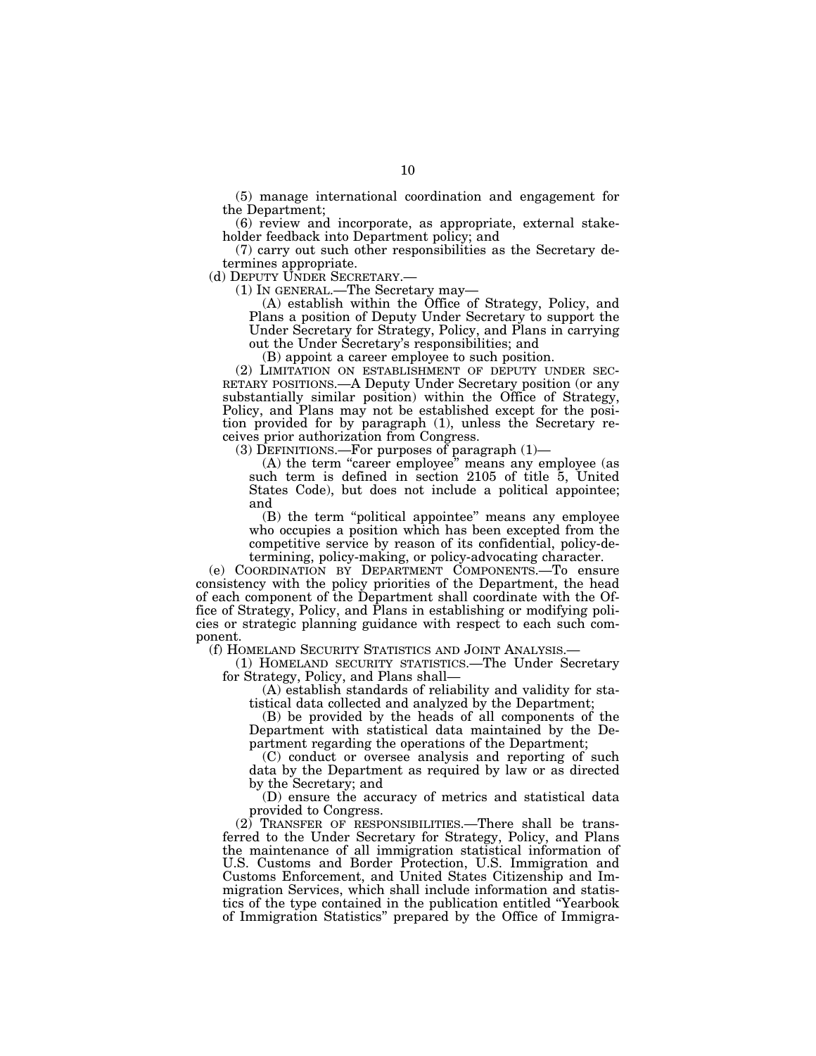(5) manage international coordination and engagement for the Department;

(6) review and incorporate, as appropriate, external stakeholder feedback into Department policy; and

(7) carry out such other responsibilities as the Secretary determines appropriate.<br>(d) DEPUTY UNDER SECRETARY.—

 $(1)$  In GENERAL.—The Secretary may—

(A) establish within the Office of Strategy, Policy, and Plans a position of Deputy Under Secretary to support the Under Secretary for Strategy, Policy, and Plans in carrying out the Under Secretary's responsibilities; and

(B) appoint a career employee to such position.

(2) LIMITATION ON ESTABLISHMENT OF DEPUTY UNDER SEC-RETARY POSITIONS.—A Deputy Under Secretary position (or any substantially similar position) within the Office of Strategy, Policy, and Plans may not be established except for the position provided for by paragraph (1), unless the Secretary receives prior authorization from Congress.

(3) DEFINITIONS.—For purposes of paragraph (1)—

(A) the term "career employee" means any employee (as such term is defined in section 2105 of title 5, United States Code), but does not include a political appointee; and

(B) the term ''political appointee'' means any employee who occupies a position which has been excepted from the competitive service by reason of its confidential, policy-determining, policy-making, or policy-advocating character.

(e) COORDINATION BY DEPARTMENT COMPONENTS.—To ensure consistency with the policy priorities of the Department, the head of each component of the Department shall coordinate with the Office of Strategy, Policy, and Plans in establishing or modifying policies or strategic planning guidance with respect to each such component.<br>(f) HOMELAND SECURITY STATISTICS AND JOINT ANALYSIS.—

(1) HOMELAND SECURITY STATISTICS.—The Under Secretary for Strategy, Policy, and Plans shall—

(A) establish standards of reliability and validity for statistical data collected and analyzed by the Department;

(B) be provided by the heads of all components of the Department with statistical data maintained by the Department regarding the operations of the Department;

(C) conduct or oversee analysis and reporting of such data by the Department as required by law or as directed by the Secretary; and

(D) ensure the accuracy of metrics and statistical data provided to Congress.

(2) TRANSFER OF RESPONSIBILITIES.—There shall be transferred to the Under Secretary for Strategy, Policy, and Plans the maintenance of all immigration statistical information of U.S. Customs and Border Protection, U.S. Immigration and Customs Enforcement, and United States Citizenship and Immigration Services, which shall include information and statistics of the type contained in the publication entitled ''Yearbook of Immigration Statistics'' prepared by the Office of Immigra-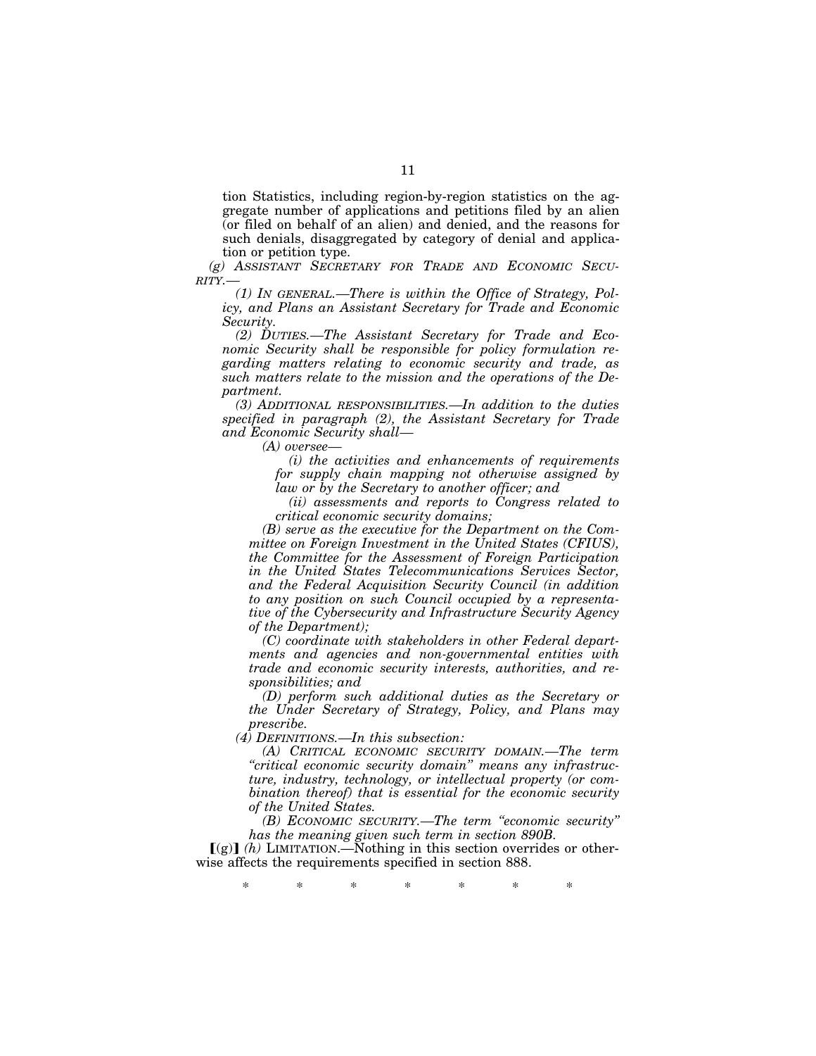tion Statistics, including region-by-region statistics on the aggregate number of applications and petitions filed by an alien (or filed on behalf of an alien) and denied, and the reasons for such denials, disaggregated by category of denial and application or petition type.

*(g) ASSISTANT SECRETARY FOR TRADE AND ECONOMIC SECU-RITY.—* 

*(1) IN GENERAL.—There is within the Office of Strategy, Policy, and Plans an Assistant Secretary for Trade and Economic Security.* 

*(2) DUTIES.—The Assistant Secretary for Trade and Economic Security shall be responsible for policy formulation regarding matters relating to economic security and trade, as such matters relate to the mission and the operations of the Department.* 

*(3) ADDITIONAL RESPONSIBILITIES.—In addition to the duties specified in paragraph (2), the Assistant Secretary for Trade and Economic Security shall—* 

*(A) oversee—* 

*(i) the activities and enhancements of requirements for supply chain mapping not otherwise assigned by law or by the Secretary to another officer; and* 

*(ii) assessments and reports to Congress related to critical economic security domains;* 

*(B) serve as the executive for the Department on the Committee on Foreign Investment in the United States (CFIUS), the Committee for the Assessment of Foreign Participation in the United States Telecommunications Services Sector, and the Federal Acquisition Security Council (in addition to any position on such Council occupied by a representative of the Cybersecurity and Infrastructure Security Agency of the Department);* 

*(C) coordinate with stakeholders in other Federal departments and agencies and non-governmental entities with trade and economic security interests, authorities, and responsibilities; and* 

*(D) perform such additional duties as the Secretary or the Under Secretary of Strategy, Policy, and Plans may prescribe.* 

*(4) DEFINITIONS.—In this subsection:* 

*(A) CRITICAL ECONOMIC SECURITY DOMAIN.—The term ''critical economic security domain'' means any infrastructure, industry, technology, or intellectual property (or combination thereof) that is essential for the economic security of the United States.* 

*(B) ECONOMIC SECURITY.—The term ''economic security'' has the meaning given such term in section 890B.* 

 $\lceil \frac{g}{h} \rceil$  (h) LIMITATION.—Nothing in this section overrides or otherwise affects the requirements specified in section 888.

\* \* \* \* \* \* \*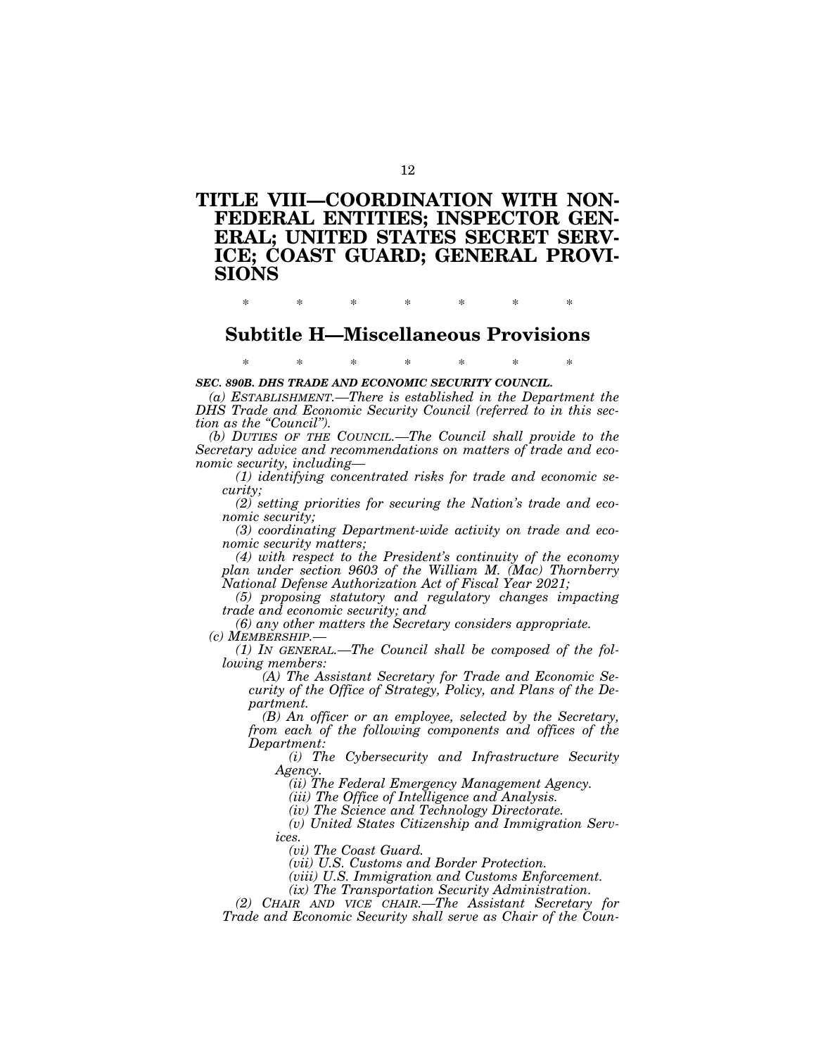# **TITLE VIII—COORDINATION WITH NON-FEDERAL ENTITIES; INSPECTOR GEN-ERAL; UNITED STATES SECRET SERV-ICE; COAST GUARD; GENERAL PROVI-SIONS**

\* \* \* \* \* \* \*

# **Subtitle H—Miscellaneous Provisions**

\* \* \* \* \* \* \*

*SEC. 890B. DHS TRADE AND ECONOMIC SECURITY COUNCIL.* 

*(a) ESTABLISHMENT.—There is established in the Department the DHS Trade and Economic Security Council (referred to in this section as the ''Council'').* 

*(b) DUTIES OF THE COUNCIL.—The Council shall provide to the Secretary advice and recommendations on matters of trade and economic security, including—* 

*(1) identifying concentrated risks for trade and economic security;* 

*(2) setting priorities for securing the Nation's trade and economic security;* 

*(3) coordinating Department-wide activity on trade and economic security matters;* 

*(4) with respect to the President's continuity of the economy plan under section 9603 of the William M. (Mac) Thornberry National Defense Authorization Act of Fiscal Year 2021;* 

*(5) proposing statutory and regulatory changes impacting trade and economic security; and* 

*(6) any other matters the Secretary considers appropriate. (c) MEMBERSHIP.—* 

*(1) IN GENERAL.—The Council shall be composed of the following members:* 

*(A) The Assistant Secretary for Trade and Economic Security of the Office of Strategy, Policy, and Plans of the Department.* 

*(B) An officer or an employee, selected by the Secretary, from each of the following components and offices of the Department:* 

*(i) The Cybersecurity and Infrastructure Security Agency.* 

*(ii) The Federal Emergency Management Agency.* 

*(iii) The Office of Intelligence and Analysis.* 

*(iv) The Science and Technology Directorate.* 

*(v) United States Citizenship and Immigration Services.* 

*(vi) The Coast Guard.* 

*(vii) U.S. Customs and Border Protection.* 

*(viii) U.S. Immigration and Customs Enforcement.* 

*(ix) The Transportation Security Administration.* 

*(2) CHAIR AND VICE CHAIR.—The Assistant Secretary for Trade and Economic Security shall serve as Chair of the Coun-*